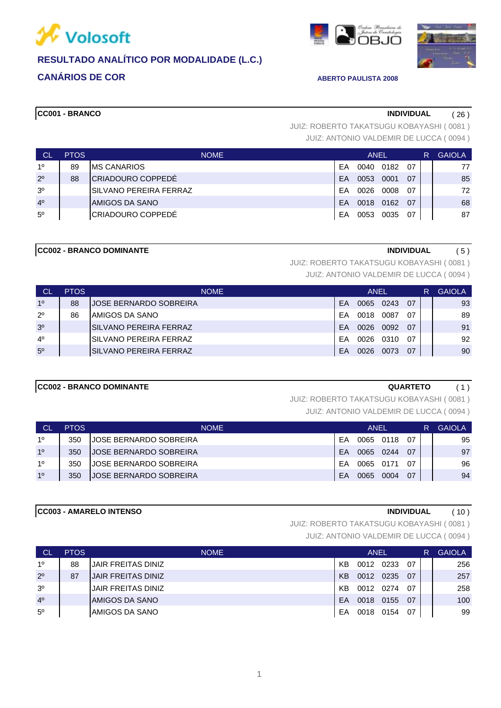



## **CC001 - BRANCO INDIVIDUAL** ( 26 )

JUIZ: ANTONIO VALDEMIR DE LUCCA ( 0094 ) JUIZ: ROBERTO TAKATSUGU KOBAYASHI ( 0081 )

 $\overline{\overline{\mathsf{h}}}_{\overline{\mathsf{h}}\mathsf{B}}$ 

| <b>CL</b>      | <b>PTOS</b> | <b>NOME</b>              | <b>ANEL</b> |      |      |     | R | <b>GAIOLA</b> |
|----------------|-------------|--------------------------|-------------|------|------|-----|---|---------------|
| 10             | 89          | <b>IMS CANARIOS</b>      | FΑ          | 0040 | 0182 | -07 |   | 77            |
| $2^{\circ}$    | 88          | CRIADOURO COPPEDÉ        | <b>FA</b>   | 0053 | 0001 | 07  |   | 85            |
| 3 <sup>o</sup> |             | ISILVANO PEREIRA FERRAZ  | FΑ          | 0026 | 0008 | 07  |   | 72            |
| 4 <sup>0</sup> |             | <b>JAMIGOS DA SANO</b>   | FΑ          | 0018 | 0162 | 07  |   | 68            |
| $5^{\circ}$    |             | <b>CRIADOURO COPPEDÉ</b> | EΑ          | 0053 | 0035 | 07  |   | 87            |

### **CC002 - BRANCO DOMINANTE INDIVIDUAL** ( 5 )

JUIZ: ROBERTO TAKATSUGU KOBAYASHI ( 0081 )

JUIZ: ANTONIO VALDEMIR DE LUCCA ( 0094 )

| <b>CL</b>      | <b>PTOS</b> | <b>NOME</b>                    | <b>ANEL</b> |      |      |    | R | <b>GAIOLA</b> |
|----------------|-------------|--------------------------------|-------------|------|------|----|---|---------------|
| 10             | 88          | <b>JOSE BERNARDO SOBREIRA</b>  | FA          | 0065 | 0243 | 07 |   | 93            |
| $2^{\circ}$    | 86          | IAMIGOS DA SANO                | FΑ          | 0018 | 0087 | 07 |   | 89            |
| 3 <sup>o</sup> |             | ISILVANO PEREIRA FERRAZ        | FΑ          | 0026 | 0092 | 07 |   | 91            |
| $4^{\circ}$    |             | <b>ISILVANO PEREIRA FERRAZ</b> | FΑ          | 0026 | 0310 | 07 |   | 92            |
| $5^{\circ}$    |             | <b>ISILVANO PEREIRA FERRAZ</b> | <b>FA</b>   | 0026 | 0073 | 07 |   | 90            |

### **CC002 - BRANCO DOMINANTE QUARTETO** ( 1 )

JUIZ: ROBERTO TAKATSUGU KOBAYASHI ( 0081 )

JUIZ: ANTONIO VALDEMIR DE LUCCA ( 0094 )

| <b>CL</b> | <b>PTOS</b> | <b>NOME</b>                   | ANEL |      |      |     | R | GAIOLA. |
|-----------|-------------|-------------------------------|------|------|------|-----|---|---------|
| 10        | 350         | <b>JOSE BERNARDO SOBREIRA</b> | FA   | 0065 | 0118 | 07  |   | 95      |
| 10        | 350         | <b>JOSE BERNARDO SOBREIRA</b> | FA   | 0065 | 0244 | 07  |   | 97      |
| 10        | 350         | JOSE BERNARDO SOBREIRA        | FΑ   | 0065 | 0171 | -07 |   | 96      |
| 10        | 350         | <b>JOSE BERNARDO SOBREIRA</b> | FA   | 0065 | 0004 | 07  |   | 94      |

### **CC003 - AMARELO INTENSO INDIVIDUAL** ( 10 )

JUIZ: ROBERTO TAKATSUGU KOBAYASHI ( 0081 )

| <b>CL</b>      | <b>PTOS</b> | <b>NOME</b>               | <b>ANEL</b> |      |      |     | R | <b>GAIOLA</b> |
|----------------|-------------|---------------------------|-------------|------|------|-----|---|---------------|
| 1 <sup>0</sup> | 88          | <b>JAIR FREITAS DINIZ</b> | KB          | 0012 | 0233 | 07  |   | 256           |
| $2^{\circ}$    | 87          | <b>JAIR FREITAS DINIZ</b> | <b>KB</b>   | 0012 | 0235 | 07  |   | 257           |
| 3 <sup>o</sup> |             | JAIR FREITAS DINIZ        | KB          | 0012 | 0274 | 07  |   | 258           |
| 4 <sup>0</sup> |             | <b>IAMIGOS DA SANO</b>    | EA          | 0018 | 0155 | -07 |   | 100           |
| $5^{\circ}$    |             | IAMIGOS DA SANO           | EA          | 0018 | 0154 | 07  |   | 99            |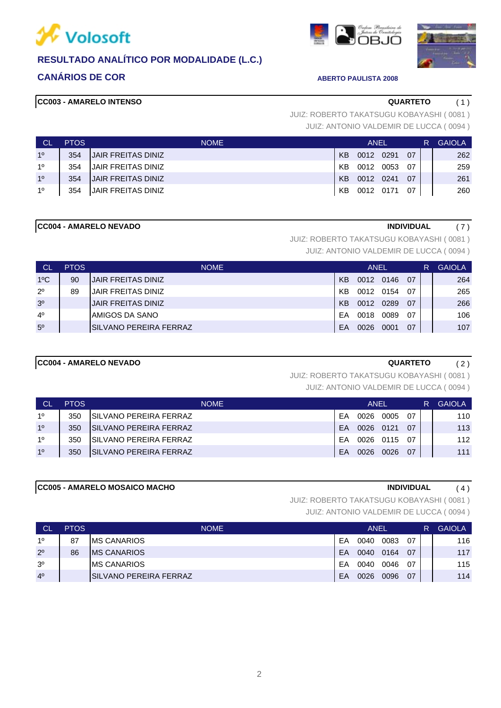

# **CANÁRIOS DE COR ABERTO PAULISTA 2008**





### **CC003 - AMARELO INTENSO QUARTETO** ( 1 )

JUIZ: ANTONIO VALDEMIR DE LUCCA ( 0094 ) JUIZ: ROBERTO TAKATSUGU KOBAYASHI ( 0081 )

| <b>CL</b> | <b>PTOS</b> | <b>NOME</b>               | ANEL |           |  |    | R | <b>GAIOLA</b> |
|-----------|-------------|---------------------------|------|-----------|--|----|---|---------------|
| 10        | 354         | <b>JAIR FREITAS DINIZ</b> | KB   | 0012 0291 |  | 07 |   | 262           |
| 10        | 354         | IJAIR FREITAS DINIZ       | KB   | 0012 0053 |  | 07 |   | 259           |
| 10        | 354         | <b>JAIR FREITAS DINIZ</b> | KB   | 0012 0241 |  | 07 |   | 261           |
| 10        | 354         | JAIR FREITAS DINIZ        | KB   | 0012 0171 |  | 07 |   | 260           |

### **CC004 - AMARELO NEVADO INDIVIDUAL** ( 7 )

JUIZ: ROBERTO TAKATSUGU KOBAYASHI ( 0081 )

JUIZ: ANTONIO VALDEMIR DE LUCCA ( 0094 )

| <b>CL</b>      | <b>PTOS</b> | <b>NOME</b>               | ANEL           |           |      |    | R. | <b>GAIOLA</b> |
|----------------|-------------|---------------------------|----------------|-----------|------|----|----|---------------|
| $1^{\circ}$ C  | 90          | <b>JAIR FREITAS DINIZ</b> | KB             | 0012 0146 |      | 07 |    | 264           |
| $2^{\circ}$    | 89          | JAIR FREITAS DINIZ        | KB.            | 0012      | 0154 | 07 |    | 265           |
| 3 <sup>o</sup> |             | <b>JAIR FREITAS DINIZ</b> | K <sub>B</sub> | 0012      | 0289 | 07 |    | 266           |
| 4 <sup>0</sup> |             | IAMIGOS DA SANO           | FΑ             | 0018      | 0089 | 07 |    | 106           |
| 5 <sup>o</sup> |             | ISILVANO PEREIRA FERRAZ   | EA             | 0026      | 0001 | 07 |    | 107           |

### **CC004 - AMARELO NEVADO QUARTETO** ( 2 )

JUIZ: ROBERTO TAKATSUGU KOBAYASHI ( 0081 )

JUIZ: ANTONIO VALDEMIR DE LUCCA ( 0094 )

| ∣ CL'          | <b>PTOS</b> | <b>NOME</b>                    |           | <b>ANFL</b> |      | R    | <b>GAIOLA</b> |     |
|----------------|-------------|--------------------------------|-----------|-------------|------|------|---------------|-----|
| 10             | 350         | <b>ISILVANO PEREIRA FERRAZ</b> | FA        | 0026        | 0005 | 07   |               | 110 |
| 1 <sup>0</sup> | 350         | ISILVANO PEREIRA FERRAZ        | <b>FA</b> | 0026        | 0121 | 07   |               | 113 |
| 10             | 350         | ISILVANO PEREIRA FERRAZ        | FA        | 0026        | 0115 | - 07 |               | 112 |
| 10             | 350         | ISILVANO PEREIRA FERRAZ        | <b>FA</b> | 0026        | 0026 | 07   |               | 111 |

### **CC005 - AMARELO MOSAICO MACHO INDIVIDUAL** ( 4 )

JUIZ: ROBERTO TAKATSUGU KOBAYASHI ( 0081 )

| <b>CL</b>      | <b>PTOS</b> | <b>NOME</b>             |    | <b>ANEL</b> |      | R   | <b>GAIOLA</b> |     |
|----------------|-------------|-------------------------|----|-------------|------|-----|---------------|-----|
| 10             | 87          | <b>IMS CANARIOS</b>     | EA | 0040        | 0083 | 07  |               | 116 |
| $2^{\circ}$    | 86          | <b>IMS CANARIOS</b>     | FA | 0040        | 0164 | 07  |               | 117 |
| 3 <sup>o</sup> |             | <b>IMS CANARIOS</b>     | FΑ | 0040        | 0046 | -07 |               | 115 |
| 4 <sup>0</sup> |             | ISILVANO PEREIRA FERRAZ | FA | 0026        | 0096 | 07  |               | 114 |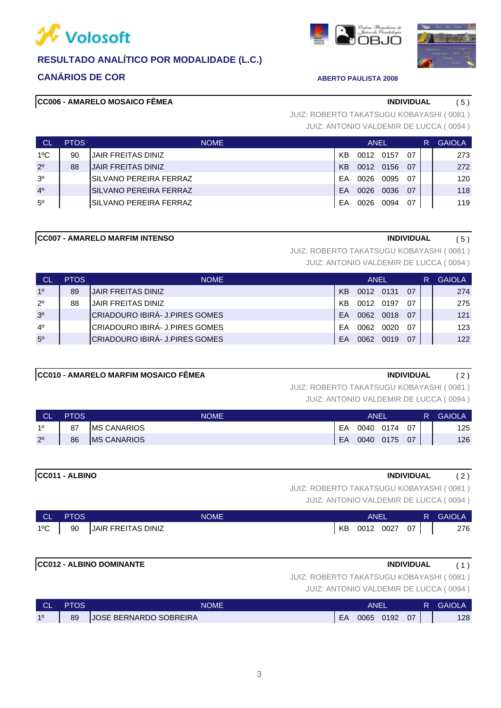

# **CANÁRIOS DE COR ABERTO PAULISTA 2008**

### **CC006 - AMARELO MOSAICO FÊMEA INDIVIDUAL** ( 5 )

JUIZ: ANTONIO VALDEMIR DE LUCCA ( 0094 ) JUIZ: ROBERTO TAKATSUGU KOBAYASHI ( 0081 )

| <b>CL</b>      | <b>PTOS</b> | <b>NOME</b>               | ANEL      |           |           |     | R. | <b>GAIOLA</b> |
|----------------|-------------|---------------------------|-----------|-----------|-----------|-----|----|---------------|
| $1^{\circ}$ C  | 90          | <b>JAIR FREITAS DINIZ</b> | KB        | 0012 0157 |           | -07 |    | 273           |
| $2^{\circ}$    | 88          | <b>JAIR FREITAS DINIZ</b> | KB        |           | 0012 0156 | -07 |    | 272           |
| 3 <sup>o</sup> |             | ISILVANO PEREIRA FERRAZ   | FA        | 0026      | 0095      | -07 |    | 120           |
| 4 <sup>0</sup> |             | ISILVANO PEREIRA FERRAZ   | <b>FA</b> | 0026      | 0036      | 07  |    | 118           |
| $5^{\circ}$    |             | ISILVANO PEREIRA FERRAZ   | FA        | 0026      | 0094      | 07  |    | 119           |

### **CC007 - AMARELO MARFIM INTENSO INDIVIDUAL** ( 5 )

JUIZ: ROBERTO TAKATSUGU KOBAYASHI ( 0081 )

JUIZ: ANTONIO VALDEMIR DE LUCCA ( 0094 )

| <b>CL</b>      | <b>PTOS</b> | <b>NOME</b>                      | <b>ANFL</b> |           |      |    | R | <b>GAIOLA</b> |
|----------------|-------------|----------------------------------|-------------|-----------|------|----|---|---------------|
| 10             | 89          | <b>JAIR FREITAS DINIZ</b>        | KB          | 0012 0131 |      | 07 |   | 274           |
| $2^{\circ}$    | 88          | <b>JAIR FREITAS DINIZ</b>        | KB          | 0012      | 0197 | 07 |   | 275           |
| 3 <sup>o</sup> |             | ICRIADOURO IBIRÁ- J.PIRES GOMES. | FA          | 0062      | 0018 | 07 |   | 121           |
| $4^{\circ}$    |             | CRIADOURO IBIRÁ- J.PIRES GOMES   | FΑ          | 0062      | 0020 | 07 |   | 123           |
| 5 <sup>o</sup> |             | ICRIADOURO IBIRÁ- J.PIRES GOMES. | FΑ          | 0062      | 0019 | 07 |   | 122           |

### **CC010 - AMARELO MARFIM MOSAICO FÊMEA INDIVIDUAL** ( 2 )

# JUIZ: ROBERTO TAKATSUGU KOBAYASHI ( 0081 )

JUIZ: ANTONIO VALDEMIR DE LUCCA ( 0094 )

| <b>CL</b>   | <b>PTOS</b> | <b>NOME</b>         | ANEL |      |      |    | <b>GAIOLA</b> |
|-------------|-------------|---------------------|------|------|------|----|---------------|
| 10          | 87          | <b>IMS CANARIOS</b> | EA   | 0040 | 0174 | 07 | 125           |
| $2^{\circ}$ | 86          | <b>MS CANARIOS</b>  | EA   | 0040 | 0175 | 07 | 126           |

# **CC011 - ALBINO INDIVIDUAL** ( 2 )

JUIZ: ROBERTO TAKATSUGU KOBAYASHI ( 0081 )

JUIZ: ANTONIO VALDEMIR DE LUCCA ( 0094 )

| CL.           | <b>PTOS</b> | NOME                  | <b>ANEL</b> |  |           |      | /R. | <b>GAIOLA</b> |
|---------------|-------------|-----------------------|-------------|--|-----------|------|-----|---------------|
| $1^{\circ}$ C |             | 90 JAIR FREITAS DINIZ | KB          |  | 0012 0027 | 07 I |     | 276           |

### **CC012 - ALBINO DOMINANTE INDIVIDUAL** ( 1 )

# JUIZ: ROBERTO TAKATSUGU KOBAYASHI ( 0081 )

| <b>CL</b> | <b>PTOS</b> | NOME                          |    | <b>ANEI</b> |      |    | R | <b>GAIOLA</b> |
|-----------|-------------|-------------------------------|----|-------------|------|----|---|---------------|
| 10        | 89          | <b>JOSE BERNARDO SOBREIRA</b> | EA | 0065        | 0192 | 07 |   | 128           |

|   |    | ٠ |         |   |
|---|----|---|---------|---|
|   |    | ۰ |         |   |
| × | M. |   | i<br>۰. | I |
|   |    |   |         |   |



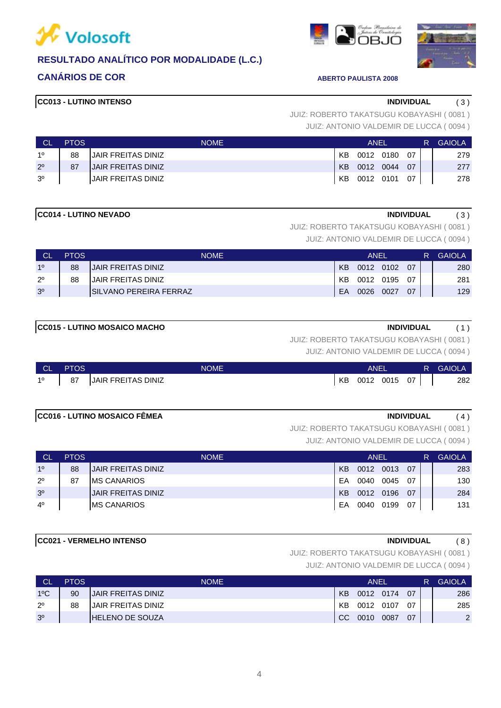



### **CC013 - LUTINO INTENSO INDIVIDUAL** ( 3 )

JUIZ: ANTONIO VALDEMIR DE LUCCA ( 0094 ) JUIZ: ROBERTO TAKATSUGU KOBAYASHI ( 0081 )

|                | <b>PTOS</b> | <b>NOME</b>               |                | ANEL      |           |      | R. | <b>GAIOLA</b> |
|----------------|-------------|---------------------------|----------------|-----------|-----------|------|----|---------------|
| 10             | 88          | IJAIR FREITAS DINIZ       | KB             |           | 0012 0180 | - 07 |    | 279           |
| $2^{\circ}$    | 87          | <b>JAIR FREITAS DINIZ</b> | K <sub>B</sub> | 0012 0044 |           | - 07 |    | 277           |
| 3 <sup>o</sup> |             | IJAIR FREITAS DINIZ       | KB             | 0012 0101 |           | - 07 |    | 278           |

### **CC014 - LUTINO NEVADO INDIVIDUAL** ( 3 )

JUIZ: ROBERTO TAKATSUGU KOBAYASHI ( 0081 )

JUIZ: ANTONIO VALDEMIR DE LUCCA ( 0094 )

| <b>CL</b>      | <b>PTOS</b> | <b>NOME</b>               |    | ANEL |      |     |  | <b>GAIOLA</b> |
|----------------|-------------|---------------------------|----|------|------|-----|--|---------------|
| 10             | 88          | IJAIR FREITAS DINIZ       | KB | 0012 | 0102 | 07  |  | 280           |
| $2^{\circ}$    | 88          | <b>JAIR FREITAS DINIZ</b> | KB | 0012 | 0195 | -07 |  | 281           |
| 3 <sup>o</sup> |             | ISILVANO PEREIRA FERRAZ   | EA | 0026 | 0027 | 07  |  | 129           |

### JUIZ: ROBERTO TAKATSUGU KOBAYASHI ( 0081 )

JUIZ: ANTONIO VALDEMIR DE LUCCA ( 0094 )

| <b>NGL</b> | <b>PTOS</b> | <b>NOME</b>               |    | ANEL |      |    | <b>GAIOLA</b> |
|------------|-------------|---------------------------|----|------|------|----|---------------|
| 10         | 87          | <b>JAIR FREITAS DINIZ</b> | KB | 0012 | 0015 | 07 | 282           |

### **CC016 - LUTINO MOSAICO FÊMEA INDIVIDUAL** ( 4 )

JUIZ: ROBERTO TAKATSUGU KOBAYASHI ( 0081 )

JUIZ: ANTONIO VALDEMIR DE LUCCA ( 0094 )

| <b>CL</b>      | <b>PTOS</b> | <b>NOME</b>               | ANEL      |      |      |     | R | <b>GAIOLA</b> |
|----------------|-------------|---------------------------|-----------|------|------|-----|---|---------------|
| 1 <sup>0</sup> | 88          | <b>JAIR FREITAS DINIZ</b> | <b>KB</b> | 0012 | 0013 | 07  |   | 283           |
| $2^{\circ}$    | 87          | IMS CANARIOS              | FA        | 0040 | 0045 | -07 |   | 130           |
| 3 <sup>o</sup> |             | <b>JAIR FREITAS DINIZ</b> | KB        | 0012 | 0196 | -07 |   | 284           |
| $4^{\circ}$    |             | <b>MS CANARIOS</b>        | FΑ        | 0040 | 0199 | 07  |   | 131           |

## **CC021 - VERMELHO INTENSO INDIVIDUAL** ( 8 )

JUIZ: ROBERTO TAKATSUGU KOBAYASHI ( 0081 )

| <b>CL</b>      | <b>PTOS</b> | <b>NOME</b>                | <b>ANEL</b>   |      |           |    | R | <b>GAIOLA</b>  |
|----------------|-------------|----------------------------|---------------|------|-----------|----|---|----------------|
| $1^{\circ}$ C  | 90          | <b>JJAIR FREITAS DINIZ</b> | <b>KB</b>     |      | 0012 0174 | 07 |   | 286            |
| $2^{\circ}$    | 88          | IJAIR FREITAS DINIZ        | KB.           | 0012 | 0107      | 07 |   | 285            |
| 3 <sup>0</sup> |             | <b>IHELENO DE SOUZA</b>    | <sub>CC</sub> | 0010 | 0087      | 07 |   | $\overline{2}$ |

![](_page_3_Picture_25.jpeg)

![](_page_3_Picture_27.jpeg)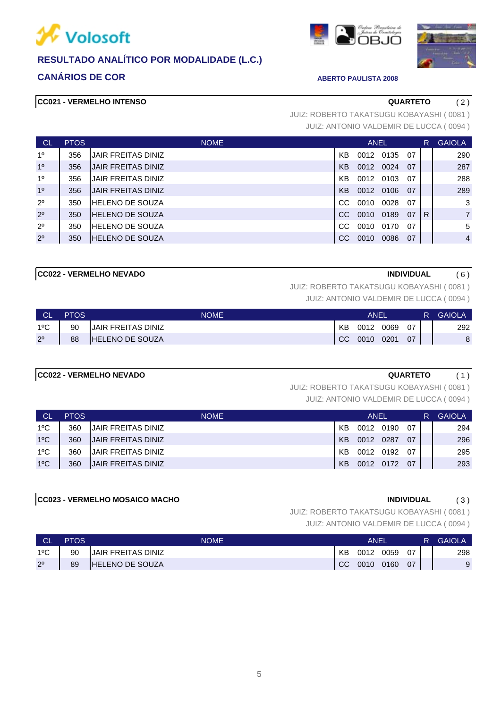![](_page_4_Picture_0.jpeg)

# **CANÁRIOS DE COR ABERTO PAULISTA 2008**

### **CC021 - VERMELHO INTENSO QUARTETO** ( 2 )

JUIZ: ANTONIO VALDEMIR DE LUCCA ( 0094 ) JUIZ: ROBERTO TAKATSUGU KOBAYASHI ( 0081 )

| <b>CL</b>      | <b>PTOS</b> | <b>NOME</b>               |    | <b>ANEL</b> |      |    | R. | <b>GAIOLA</b>  |
|----------------|-------------|---------------------------|----|-------------|------|----|----|----------------|
| 1 <sup>0</sup> | 356         | <b>JAIR FREITAS DINIZ</b> | KB | 0012        | 0135 | 07 |    | 290            |
| 1 <sup>0</sup> | 356         | <b>JAIR FREITAS DINIZ</b> | KB | 0012        | 0024 | 07 |    | 287            |
| 1 <sup>0</sup> | 356         | <b>JAIR FREITAS DINIZ</b> | ΚB | 0012        | 0103 | 07 |    | 288            |
| 1 <sup>0</sup> | 356         | <b>JAIR FREITAS DINIZ</b> | KB | 0012        | 0106 | 07 |    | 289            |
| $2^{\circ}$    | 350         | IHELENO DE SOUZA          | CС | 0010        | 0028 | 07 |    | 3              |
| $2^{\circ}$    | 350         | HELENO DE SOUZA           | CC | 0010        | 0189 | 07 | R  | $\overline{7}$ |
| $2^{\circ}$    | 350         | IHELENO DE SOUZA          | CС | 0010        | 0170 | 07 |    | 5              |
| $2^{\circ}$    | 350         | <b>HELENO DE SOUZA</b>    |    | 0010        | 0086 | 07 |    | $\overline{4}$ |

### **CC022 - VERMELHO NEVADO INDIVIDUAL** ( 6 )

JUIZ: ROBERTO TAKATSUGU KOBAYASHI ( 0081 )

JUIZ: ANTONIO VALDEMIR DE LUCCA ( 0094 )

| ∣ CL'         | <b>PTOS</b> | NOME                   | ANEL      |      |      |    | R | <b>GAIOLA</b> |
|---------------|-------------|------------------------|-----------|------|------|----|---|---------------|
| $1^{\circ}$ C | 90          | IJAIR FREITAS DINIZ    | KB        | 0012 | 0069 | 07 |   | 292           |
| $2^{\circ}$   | 88          | <b>HELENO DE SOUZA</b> | <b>CC</b> | 0010 | 0201 | 07 |   |               |

### **CC022 - VERMELHO NEVADO QUARTETO** ( 1 )

JUIZ: ROBERTO TAKATSUGU KOBAYASHI ( 0081 )

JUIZ: ANTONIO VALDEMIR DE LUCCA ( 0094 )

| <b>CL</b>     | <b>PTOS</b> | <b>NOME</b>               |    | ANEL |      |     | <b>GAIOLA</b> |
|---------------|-------------|---------------------------|----|------|------|-----|---------------|
| $1^{\circ}$ C | 360         | <b>JAIR FREITAS DINIZ</b> | KB | 0012 | 0190 | 07  | 294           |
| $1^{\circ}$ C | 360         | <b>JAIR FREITAS DINIZ</b> | KB | 0012 | 0287 | 07  | 296           |
| $1^{\circ}$ C | 360         | <b>JAIR FREITAS DINIZ</b> | KB | 0012 | 0192 | -07 | 295           |
| $1^{\circ}$ C | 360         | <b>JAIR FREITAS DINIZ</b> | KB | 0012 | 0172 | 07  | 293           |

### **CC023 - VERMELHO MOSAICO MACHO INDIVIDUAL** ( 3 )

JUIZ: ROBERTO TAKATSUGU KOBAYASHI ( 0081 )

| <b>CL</b>   | <b>PTOS</b> | <b>NOME</b>               |    | ANEI |      |    | R | <b>GAIOLA</b> |
|-------------|-------------|---------------------------|----|------|------|----|---|---------------|
| 1ºC         | 90          | <b>JAIR FREITAS DINIZ</b> | KB | 0012 | 0059 | 07 |   | 298           |
| $2^{\circ}$ | 89          | <b>HELENO DE SOUZA</b>    | CC | 0010 | 0160 | 07 |   | 9             |

![](_page_4_Picture_20.jpeg)

![](_page_4_Picture_21.jpeg)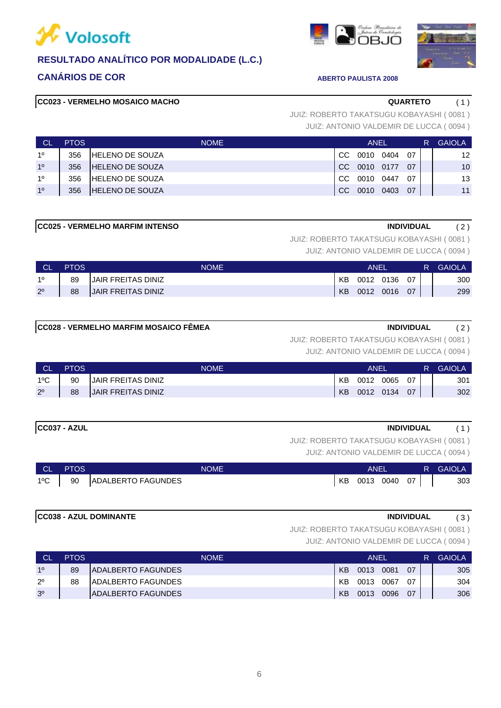![](_page_5_Picture_0.jpeg)

![](_page_5_Picture_1.jpeg)

![](_page_5_Picture_3.jpeg)

![](_page_5_Picture_4.jpeg)

**CC023 - VERMELHO MOSAICO MACHO QUARTETO** ( 1 )

JUIZ: ANTONIO VALDEMIR DE LUCCA ( 0094 ) JUIZ: ROBERTO TAKATSUGU KOBAYASHI ( 0081 )

| ⊟ CL           | <b>PTOS</b> | <b>NOME</b>             |               | ANEL |      |     | <b>GAIOLA</b>   |
|----------------|-------------|-------------------------|---------------|------|------|-----|-----------------|
| 10             | 356         | <b>HELENO DE SOUZA</b>  | CC.           | 0010 | 0404 | 07  | 12              |
| 1 <sup>0</sup> | 356         | <b>HELENO DE SOUZA</b>  | CC.           | 0010 | 0177 | 07  | 10 <sup>1</sup> |
| 10             | 356         | <b>IHELENO DE SOUZA</b> | CC.           | 0010 | 0447 | 07  | 13              |
| 10             | 356         | <b>HELENO DE SOUZA</b>  | <sub>CC</sub> | 0010 | 0403 | -07 | 11              |

### **CC025 - VERMELHO MARFIM INTENSO INDIVIDUAL** ( 2 )

JUIZ: ROBERTO TAKATSUGU KOBAYASHI ( 0081 )

JUIZ: ANTONIO VALDEMIR DE LUCCA ( 0094 )

| <b>CL</b>   | <b>PTOS</b> | NOME                      | ANEI |      |      |    | R | <b>GAIOLA</b> |
|-------------|-------------|---------------------------|------|------|------|----|---|---------------|
| 10          | 89          | JAIR FREITAS DINIZ        | KB   | 0012 | 0136 | 07 |   | 300           |
| $2^{\circ}$ | 88          | <b>JAIR FREITAS DINIZ</b> | KB   | 0012 | 0016 | 07 |   | 299           |

### **CC028 - VERMELHO MARFIM MOSAICO FÊMEA INDIVIDUAL** ( 2 )

JUIZ: ROBERTO TAKATSUGU KOBAYASHI ( 0081 )

JUIZ: ANTONIO VALDEMIR DE LUCCA ( 0094 )

| <b>CL</b>     | <b>PTOS</b> | <b>NOME</b>               | ANEI      |      |      |     | R. | <b>GAIOLA</b> |
|---------------|-------------|---------------------------|-----------|------|------|-----|----|---------------|
| $1^{\circ}$ C | 90          | IJAIR FREITAS DINIZ       | КB        | 0012 | 0065 | -07 |    | 301           |
| $2^{\circ}$   | 88          | <b>JAIR FREITAS DINIZ</b> | <b>KB</b> | 0012 | 0134 | 07  |    | 302           |

## **CC037 - AZUL INDIVIDUAL** ( 1 )

JUIZ: ROBERTO TAKATSUGU KOBAYASHI ( 0081 )

JUIZ: ANTONIO VALDEMIR DE LUCCA ( 0094 )

|               | CL PTOS | <b>NOME</b>           | ANEI            |  | <b>R</b> GAIOLA |
|---------------|---------|-----------------------|-----------------|--|-----------------|
| $1^{\circ}$ C |         | 90 ADALBERTO FAGUNDES | KB 0013 0040 07 |  | 303             |

### **CC038 - AZUL DOMINANTE INDIVIDUAL** ( 3 )

JUIZ: ROBERTO TAKATSUGU KOBAYASHI ( 0081 )

| <b>CL</b>      | <b>PTOS</b> | <b>NOME</b>                | ANEL      |      |      |    | R | <b>GAIOLA</b> |
|----------------|-------------|----------------------------|-----------|------|------|----|---|---------------|
| 10             | 89          | <b>ADALBERTO FAGUNDES</b>  | <b>KB</b> | 0013 | 0081 | 07 |   | 305           |
| $2^{\circ}$    | 88          | IADALBERTO FAGUNDES        | КB        | 0013 | 0067 | 07 |   | 304           |
| 3 <sup>0</sup> |             | <b>IADALBERTO FAGUNDES</b> | KB        | 0013 | 0096 | 07 |   | 306           |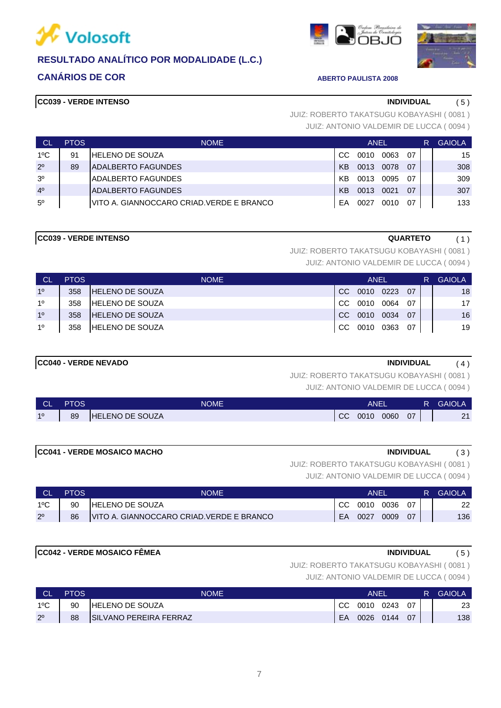![](_page_6_Picture_0.jpeg)

# **CANÁRIOS DE COR ABERTO PAULISTA 2008**

# **CC039 - VERDE INTENSO INDIVIDUAL** ( 5 )

JUIZ: ANTONIO VALDEMIR DE LUCCA ( 0094 ) JUIZ: ROBERTO TAKATSUGU KOBAYASHI ( 0081 )

| <b>CL</b>      | <b>PTOS</b> | <b>NOME</b>                               | ANEL      |      |      |     | <b>GAIOLA</b> |
|----------------|-------------|-------------------------------------------|-----------|------|------|-----|---------------|
| $1^{\circ}$ C  | 91          | HELENO DE SOUZA                           | CC.       | 0010 | 0063 | 07  | 15            |
| $2^{\circ}$    | 89          | ADALBERTO FAGUNDES                        | <b>KB</b> | 0013 | 0078 | 07  | 308           |
| 3 <sup>o</sup> |             | IADALBERTO FAGUNDES                       | KB        | 0013 | 0095 | -07 | 309           |
| 4 <sup>0</sup> |             | <b>ADALBERTO FAGUNDES</b>                 | <b>KB</b> | 0013 | 0021 | 07  | 307           |
| $5^{\circ}$    |             | IVITO A. GIANNOCCARO CRIAD.VERDE E BRANCO | FA        | 0027 | 0010 | 07  | 133           |

**CC039 - VERDE INTENSO QUARTETO** ( 1 )

JUIZ: ROBERTO TAKATSUGU KOBAYASHI ( 0081 )

JUIZ: ANTONIO VALDEMIR DE LUCCA ( 0094 )

| <b>CL</b>      | <b>PTOS</b> | <b>NOME</b>             | ANEL |      |      |     | R | <b>GAIOLA</b> |
|----------------|-------------|-------------------------|------|------|------|-----|---|---------------|
| 10             | 358         | IHELENO DE SOUZA        | CC.  | 0010 | 0223 | 07  |   | 18            |
| 10             | 358         | <b>IHELENO DE SOUZA</b> | CC.  | 0010 | 0064 | -07 |   | 17            |
| 1 <sup>0</sup> | 358         | IHELENO DE SOUZA        | CC.  | 0010 | 0034 | 07  |   | 16            |
| 10             | 358         | <b>HELENO DE SOUZA</b>  | CC.  | 0010 | 0363 | 07  |   | 19            |

### **CC040 - VERDE NEVADO INDIVIDUAL** ( 4 )

JUIZ: ROBERTO TAKATSUGU KOBAYASHI ( 0081 )

JUIZ: ANTONIO VALDEMIR DE LUCCA ( 0094 )

| <b>CL</b> | <b>PTOS</b> | <b>NOME</b>            | <b>ANEI</b> |      |      |    | R | <b>GAIOLA</b> |
|-----------|-------------|------------------------|-------------|------|------|----|---|---------------|
| 10        | 89          | <b>HELENO DE SOUZA</b> | CC          | 0010 | 0060 | 07 |   | 21            |

# **CC041 - VERDE MOSAICO MACHO INDIVIDUAL** ( 3 )

JUIZ: ROBERTO TAKATSUGU KOBAYASHI ( 0081 )

JUIZ: ANTONIO VALDEMIR DE LUCCA ( 0094 )

| ∟ CL          | <b>PTOS</b> | NOME                                      | ANFI |      |      |    | <b>GAIOLA</b> |
|---------------|-------------|-------------------------------------------|------|------|------|----|---------------|
| $1^{\circ}$ C | 90          | <b>IHELENO DE SOUZA</b>                   |      | 0010 | 0036 | 07 | 22            |
| $2^{\circ}$   | 86          | VITO A. GIANNOCCARO CRIAD. VERDE E BRANCO | EA   | 0027 | 0009 | 07 | 136           |

# **CC042 - VERDE MOSAICO FÊMEA INDIVIDUAL** ( 5 )

JUIZ: ROBERTO TAKATSUGU KOBAYASHI ( 0081 )

| <b>CL</b>     | <b>PTOS</b> | <b>NOME</b>             | ANEI          |             |      |    | 'RZ | <b>GAIOLA</b> |
|---------------|-------------|-------------------------|---------------|-------------|------|----|-----|---------------|
| $1^{\circ}$ C | 90          | <b>IHELENO DE SOUZA</b> | <sub>CC</sub> | 0010        | 0243 | 07 |     | 23            |
| $2^{\circ}$   | 88          | SILVANO PEREIRA FERRAZ  | EA            | $0026$ 0144 |      | 07 |     | 138           |

![](_page_6_Picture_27.jpeg)

![](_page_6_Picture_28.jpeg)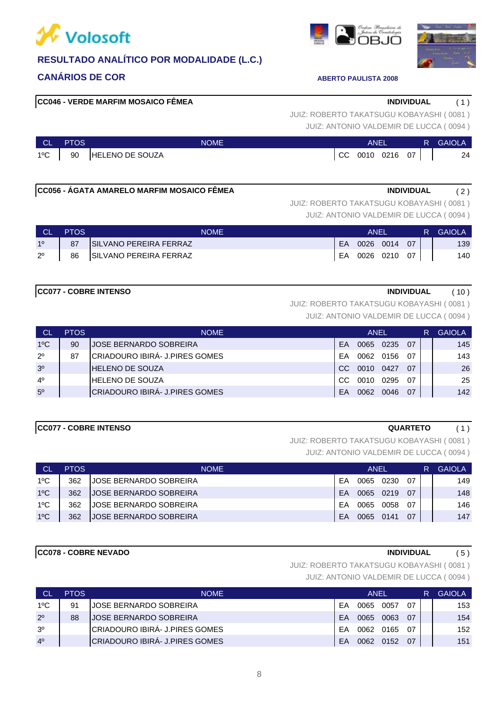![](_page_7_Picture_0.jpeg)

![](_page_7_Picture_1.jpeg)

**CC078 - COBRE NEVADO INDIVIDUAL** ( 5 ) 1ºC 362 JOSE BERNARDO SOBREIRA EA 0065 0141 07 147

### 1ºC 362 JOSE BERNARDO SOBREIRA EA 0065 0058 07 146 1ºC 362 JOSE BERNARDO SOBREIRA EA 20065 0219 07 | 148

# 1ºC | 362 |JOSE BERNARDO SOBREIRA | EA 0065 0230 07 | | 149 CL PTOS NOME ANEL R GAIOLA

# JUIZ: ROBERTO TAKATSUGU KOBAYASHI ( 0081 ) **CC077 - COBRE INTENSO QUARTETO** ( 1 )

JUIZ: ANTONIO VALDEMIR DE LUCCA ( 0094 )

JUIZ: ANTONIO VALDEMIR DE LUCCA ( 0094 )

JUIZ: ROBERTO TAKATSUGU KOBAYASHI ( 0081 )

| <b>CL</b>   | <b>PTOS</b>                        | <b>NOME</b>               | ANFI |  |              |  | R | <b>GAIOLA</b> |
|-------------|------------------------------------|---------------------------|------|--|--------------|--|---|---------------|
| 10          | $\begin{bmatrix} 87 \end{bmatrix}$ | SILVANO PEREIRA FERRAZ    | EA   |  | 0026 0014 07 |  |   | 139           |
| $2^{\circ}$ |                                    | 86 SILVANO PEREIRA FERRAZ | EA   |  | 0026 0210 07 |  |   | 140           |

**CC056 - ÁGATA AMARELO MARFIM MOSAICO FÊMEA INDIVIDUAL** ( 2 )

**CC077 - COBRE INTENSO INDIVIDUAL** ( 10 )

JUIZ: ROBERTO TAKATSUGU KOBAYASHI ( 0081 )

JUIZ: ANTONIO VALDEMIR DE LUCCA ( 0094 )

| <b>CL</b>      | <b>PTOS</b> | <b>NOME</b>                    | ANEL      |      |      |     | R | <b>GAIOLA</b> |
|----------------|-------------|--------------------------------|-----------|------|------|-----|---|---------------|
| $1^{\circ}$ C  | 90          | JOSE BERNARDO SOBREIRA         | <b>FA</b> | 0065 | 0235 | 07  |   | 145           |
| $2^{\circ}$    | 87          | CRIADOURO IBIRÁ- J.PIRES GOMES | FΑ        | 0062 | 0156 | -07 |   | 143           |
| 3 <sup>o</sup> |             | <b>HELENO DE SOUZA</b>         | CC.       | 0010 | 0427 | 07  |   | 26            |
| $4^{\circ}$    |             | IHELENO DE SOUZA               | CC.       | 0010 | 0295 | 07  |   | 25            |
| 5 <sup>0</sup> |             | CRIADOURO IBIRÁ- J.PIRES GOMES | FΑ        | 0062 | 0046 | 07  |   | 142           |

# **CC046 - VERDE MARFIM MOSAICO FÊMEA INDIVIDUAL** ( 1 )

JUIZ: ANTONIO VALDEMIR DE LUCCA ( 0094 ) JUIZ: ROBERTO TAKATSUGU KOBAYASHI ( 0081 )

|         |                            |                   |  |  |  | JUIZ. AINTUINU VALDEIVIIR DE LUUUA (1994) |
|---------|----------------------------|-------------------|--|--|--|-------------------------------------------|
| CL PTOS | <b>NOME</b>                | ANEL              |  |  |  | <b>R</b> GAIOLA                           |
|         | 1°C   90   HELENO DE SOUZA | $CC$ 0010 0216 07 |  |  |  | 24                                        |

![](_page_7_Picture_23.jpeg)

![](_page_7_Picture_24.jpeg)

JUIZ: ROBERTO TAKATSUGU KOBAYASHI ( 0081 )

JUIZ: ANTONIO VALDEMIR DE LUCCA ( 0094 )

| CL             | <b>PTOS</b> | <b>NOME</b>                    |    | <b>ANEL</b> |      | R         | GAIOLA |     |
|----------------|-------------|--------------------------------|----|-------------|------|-----------|--------|-----|
| $1^{\circ}$ C  | 91          | IJOSE BERNARDO SOBREIRA        | FΑ | 0065        | 0057 | 07        |        | 153 |
| $2^{\circ}$    | 88          | IJOSE BERNARDO SOBREIRA        | FA | 0065        | 0063 | -07       |        | 154 |
| 3 <sup>o</sup> |             | CRIADOURO IBIRÁ- J.PIRES GOMES | FΑ | 0062        | 0165 | . በ7      |        | 152 |
| 4 <sup>0</sup> |             | CRIADOURO IBIRÁ- J.PIRES GOMES | FA | 0062        | 0152 | <u>07</u> |        | 151 |

8

|                          |             | JUIZ: ANTONIO VALDEMIR DE LUCCA (1009 |     |      |           |     |   |              |
|--------------------------|-------------|---------------------------------------|-----|------|-----------|-----|---|--------------|
|                          | <b>PTOS</b> | <b>NOME</b>                           |     | ANEL |           |     | R | <b>GAIOL</b> |
| $\overline{\phantom{0}}$ | 90          | <b>JJOSE BERNARDO SOBREIRA</b>        | FA  |      | 0065 0235 | -07 |   |              |
|                          | 87          | CRIADOURO IBIRÁ- J.PIRES GOMES        | FA  |      | 0062 0156 | -07 |   |              |
|                          |             | <b>IHELENO DE SOUZA</b>               | CC. | 0010 | 0427      | 07  |   |              |
|                          |             | IHELENO DE SOUZA                      | CC. | 0010 | 0295      | -07 |   |              |
|                          |             |                                       |     |      |           |     |   |              |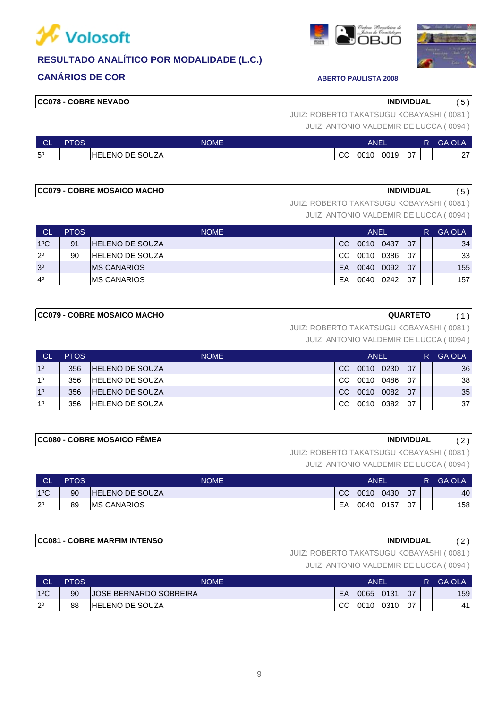![](_page_8_Picture_0.jpeg)

![](_page_8_Picture_1.jpeg)

**CC078 - COBRE NEVADO INDIVIDUAL** ( 5 )

JUIZ: ANTONIO VALDEMIR DE LUCCA ( 0094 ) JUIZ: ROBERTO TAKATSUGU KOBAYASHI ( 0081 )

| <b>CL</b>   | <b>PTOS</b> | <b>NOME</b>            |               | <b>ANEL</b> |      |    | R | <b>GAIOLA</b> |
|-------------|-------------|------------------------|---------------|-------------|------|----|---|---------------|
| $5^{\circ}$ |             | <b>HELENO DE SOUZA</b> | <sub>CC</sub> | 0010        | 0019 | 07 |   | 27            |

## **CC079 - COBRE MOSAICO MACHO INDIVIDUAL** ( 5 )

JUIZ: ROBERTO TAKATSUGU KOBAYASHI ( 0081 )

JUIZ: ANTONIO VALDEMIR DE LUCCA ( 0094 )

| <b>CL</b>      | <b>PTOS</b> | <b>NOME</b>            | ANEL |      |      |    | R | <b>GAIOLA</b> |
|----------------|-------------|------------------------|------|------|------|----|---|---------------|
| $1^{\circ}$ C  | 91          | <b>HELENO DE SOUZA</b> | CC.  | 0010 | 0437 | 07 |   | 34            |
| $2^{\circ}$    | 90          | <b>HELENO DE SOUZA</b> | CC.  | 0010 | 0386 | 07 |   | 33            |
| 3 <sup>o</sup> |             | <b>IMS CANARIOS</b>    | EA   | 0040 | 0092 | 07 |   | 155           |
| $4^{\circ}$    |             | <b>IMS CANARIOS</b>    | EA   | 0040 | 0242 | 07 |   | 157           |

JUIZ: ROBERTO TAKATSUGU KOBAYASHI ( 0081 )

JUIZ: ANTONIO VALDEMIR DE LUCCA ( 0094 )

| <b>CL</b>      | <b>PTOS</b> | <b>NOME</b>            | ANEL          |      |      |    | R. | <b>GAIOLA</b> |
|----------------|-------------|------------------------|---------------|------|------|----|----|---------------|
| 10             | 356         | <b>HELENO DE SOUZA</b> | CC.           | 0010 | 0230 | 07 |    | 36            |
| 10             | 356         | <b>HELENO DE SOUZA</b> | CC.           | 0010 | 0486 | 07 |    | 38            |
| 1 <sup>0</sup> | 356         | <b>HELENO DE SOUZA</b> | CC.           | 0010 | 0082 | 07 |    | 35            |
| 10             | 356         | <b>HELENO DE SOUZA</b> | <sub>CC</sub> | 0010 | 0382 | 07 |    | 37            |

### **CC080 - COBRE MOSAICO FÊMEA INDIVIDUAL** ( 2 )

JUIZ: ROBERTO TAKATSUGU KOBAYASHI ( 0081 )

JUIZ: ANTONIO VALDEMIR DE LUCCA ( 0094 )

| <b>CL</b>     | <b>PTOS</b> | <b>NOME</b>            | ANEL |                 |  |  |  | <b>GAIOLA</b> |
|---------------|-------------|------------------------|------|-----------------|--|--|--|---------------|
| $1^{\circ}$ C | 90          | <b>HELENO DE SOUZA</b> |      | CC 0010 0430 07 |  |  |  | 40            |
| $2^{\circ}$   | 89          | <b>MS CANARIOS</b>     | EA   | 0040 0157 07    |  |  |  | 158           |

### **CC081 - COBRE MARFIM INTENSO INDIVIDUAL** ( 2 )

JUIZ: ROBERTO TAKATSUGU KOBAYASHI ( 0081 )

JUIZ: ANTONIO VALDEMIR DE LUCCA ( 0094 )

| <b>CL</b>     | <b>PTOS</b> | NOME                          | ANEI |              |  |    | R. | <b>GAIOLA</b> |
|---------------|-------------|-------------------------------|------|--------------|--|----|----|---------------|
| $1^{\circ}$ C | 90          | <b>JOSE BERNARDO SOBREIRA</b> | EA.  | 0065 0131    |  | 07 |    | 159           |
| $2^{\circ}$   | 88          | HELENO DE SOUZA               |      | CC 0010 0310 |  | 07 |    | 41            |

![](_page_8_Picture_24.jpeg)

![](_page_8_Picture_25.jpeg)

**CC079 - COBRE MOSAICO MACHO QUARTETO** ( 1 )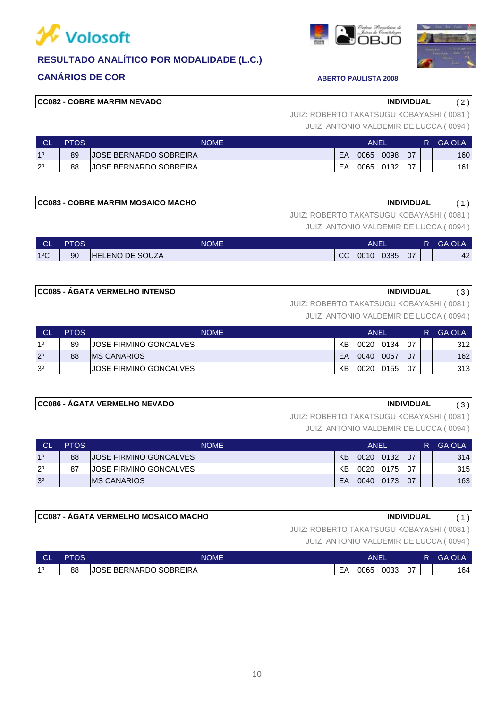![](_page_9_Picture_0.jpeg)

![](_page_9_Picture_1.jpeg)

10

### **CC082 - COBRE MARFIM NEVADO INDIVIDUAL** ( 2 )

JUIZ: ANTONIO VALDEMIR DE LUCCA ( 0094 ) JUIZ: ROBERTO TAKATSUGU KOBAYASHI ( 0081 )

|             | <b>PTOS</b> | NOME                          | ANFI |      |              |    | R. | GAIOLA |
|-------------|-------------|-------------------------------|------|------|--------------|----|----|--------|
| 10          | 89          | <b>JOSE BERNARDO SOBREIRA</b> | EA   | 0065 | 0098         | 07 |    | 160    |
| $2^{\circ}$ | 88          | JOSE BERNARDO SOBREIRA        | EA   |      | 0065 0132 07 |    |    | 161    |

### **CC083 - COBRE MARFIM MOSAICO MACHO INDIVIDUAL** ( 1 )

JUIZ: ROBERTO TAKATSUGU KOBAYASHI ( 0081 )

JUIZ: ANTONIO VALDEMIR DE LUCCA ( 0094 )

| <b>CLA</b>   | <b>PTOS</b> | <b>NOME</b>     | <b>ANEL</b>     |  |  |  | <b>GAIOLA</b> |
|--------------|-------------|-----------------|-----------------|--|--|--|---------------|
| $1^{\circ}C$ | 90          | HELENO DE SOUZA | CC 0010 0385 07 |  |  |  | 42            |

### **CC085 - ÁGATA VERMELHO INTENSO INDIVIDUAL** ( 3 )

JUIZ: ROBERTO TAKATSUGU KOBAYASHI ( 0081 )

JUIZ: ANTONIO VALDEMIR DE LUCCA ( 0094 )

| <b>CL</b>      | <b>PTOS</b> | <b>NOME</b>                   | ANEL |           |      |      | R. | <b>GAIOLA</b> |
|----------------|-------------|-------------------------------|------|-----------|------|------|----|---------------|
| 10             | 89          | IJOSE FIRMINO GONCALVES       | KB   | 0020 0134 |      | ሰ7   |    | 312           |
| $2^{\circ}$    | 88          | <b>IMS CANARIOS</b>           | EA   | 0040      | 0057 | 07   |    | 162           |
| 3 <sup>o</sup> |             | <b>JOSE FIRMINO GONCALVES</b> | KB   | 0020 0155 |      | - 07 |    | 313           |

### **CC086 - ÁGATA VERMELHO NEVADO INDIVIDUAL** ( 3 )

JUIZ: ROBERTO TAKATSUGU KOBAYASHI ( 0081 )

JUIZ: ANTONIO VALDEMIR DE LUCCA ( 0094 )

| СL             | <b>PTOS</b> | <b>NOME</b>                   | ANEL |      |      |     | R | <b>GAIOLA</b> |
|----------------|-------------|-------------------------------|------|------|------|-----|---|---------------|
| 10             | 88          | <b>JOSE FIRMINO GONCALVES</b> | KB.  | 0020 | 0132 | 07  |   | 314           |
| $2^{\circ}$    | 87          | <b>JOSE FIRMINO GONCALVES</b> | KB.  | 0020 | 0175 | -07 |   | 315           |
| 3 <sup>o</sup> |             | <b>IMS CANARIOS</b>           | FA   | 0040 | 0173 | 07  |   | 163           |

### **CC087 - ÁGATA VERMELHO MOSAICO MACHO INDIVIDUAL** ( 1 )

JUIZ: ROBERTO TAKATSUGU KOBAYASHI ( 0081 )

| <b>CL</b> | PTOS. | <b>NOME</b>                   |    | ANE  |      | R  | <b>GAIOL</b> |     |
|-----------|-------|-------------------------------|----|------|------|----|--------------|-----|
| 10        | 88    | <b>JOSE BERNARDO SOBREIRA</b> | EA | 0065 | 0033 | 07 |              | 164 |

![](_page_9_Picture_24.jpeg)

![](_page_9_Picture_25.jpeg)

![](_page_9_Picture_26.jpeg)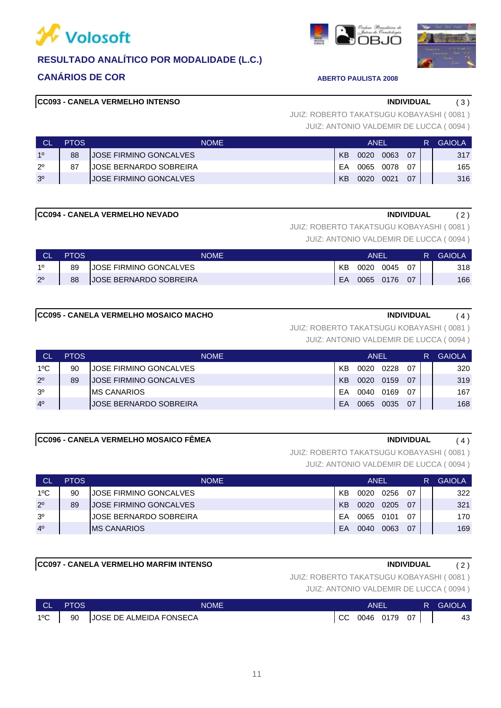![](_page_10_Picture_0.jpeg)

![](_page_10_Picture_1.jpeg)

# **CC093 - CANELA VERMELHO INTENSO INDIVIDUAL** ( 3 )

JUIZ: ANTONIO VALDEMIR DE LUCCA ( 0094 ) JUIZ: ROBERTO TAKATSUGU KOBAYASHI ( 0081 )

| <b>CL</b>      | PTOS. | <b>NOME</b>            |    | ANFI |      |    | R | <b>GAIOLA</b> |
|----------------|-------|------------------------|----|------|------|----|---|---------------|
| 10             | 88    | JOSE FIRMINO GONCALVES | KB | 0020 | 0063 | 07 |   | 317           |
| $2^{\circ}$    | 87    | JOSE BERNARDO SOBREIRA | EA | 0065 | 0078 | ሰ7 |   | 165           |
| 3 <sup>o</sup> |       | JOSE FIRMINO GONCALVES | KB | 0020 | 0021 | 07 |   | 316           |

### **CC094 - CANELA VERMELHO NEVADO INDIVIDUAL** ( 2 )

JUIZ: ROBERTO TAKATSUGU KOBAYASHI ( 0081 )

JUIZ: ANTONIO VALDEMIR DE LUCCA ( 0094 )

| <b>CL</b>   | PTOS | <b>NOME</b>                   |    | ANEI |      |    | R | <b>GAIOLA</b> |
|-------------|------|-------------------------------|----|------|------|----|---|---------------|
| 10          | 89   | <b>JOSE FIRMINO GONCALVES</b> | KB | 0020 | 0045 | 07 |   | 318           |
| $2^{\circ}$ | 88   | <b>JOSE BERNARDO SOBREIRA</b> | EA | 0065 | 0176 | 07 |   | 166           |

### **CC095 - CANELA VERMELHO MOSAICO MACHO INDIVIDUAL** ( 4 )

JUIZ: ROBERTO TAKATSUGU KOBAYASHI ( 0081 )

JUIZ: ANTONIO VALDEMIR DE LUCCA ( 0094 )

| <b>CL</b>      | <b>PTOS</b> | <b>NOME</b>                    |           | ANEL |      |    | <b>GAIOLA</b> |
|----------------|-------------|--------------------------------|-----------|------|------|----|---------------|
| $1^{\circ}$ C  | 90          | <b>JOSE FIRMINO GONCALVES</b>  | KB        | 0020 | 0228 | በ7 | 320           |
| $2^{\circ}$    | 89          | <b>JOSE FIRMINO GONCALVES</b>  | <b>KB</b> | 0020 | 0159 | 07 | 319           |
| 3 <sup>o</sup> |             | IMS CANARIOS                   | FΑ        | 0040 | 0169 | 07 | 167           |
| 4 <sup>0</sup> |             | <b>IJOSE BERNARDO SOBREIRA</b> | FΑ        | 0065 | 0035 | 07 | 168           |

### **CC096 - CANELA VERMELHO MOSAICO FÊMEA INDIVIDUAL** ( 4 )

JUIZ: ROBERTO TAKATSUGU KOBAYASHI ( 0081 )

JUIZ: ANTONIO VALDEMIR DE LUCCA ( 0094 )

| СL             | PTOS. | NOME.                          |    | ANEI |      |    | <b>GAIOLA</b> |
|----------------|-------|--------------------------------|----|------|------|----|---------------|
| $1^{\circ}$ C  | 90    | JOSE FIRMINO GONCALVES         | KB | 0020 | 0256 | 07 | 322           |
| $2^{\circ}$    | 89    | JOSE FIRMINO GONCALVES         | KB | 0020 | 0205 | 07 | 321           |
| 3 <sup>0</sup> |       | <b>IJOSE BERNARDO SOBREIRA</b> | FΑ | 0065 | 0101 | 07 | 170           |
| 4 <sup>0</sup> |       | <b>IMS CANARIOS</b>            | FA | 0040 | 0063 | 07 | 169           |

### **CC097 - CANELA VERMELHO MARFIM INTENSO INDIVIDUAL** ( 2 )

JUIZ: ROBERTO TAKATSUGU KOBAYASHI ( 0081 )

JUIZ: ANTONIO VALDEMIR DE LUCCA ( 0094 )

| CL.          | <b>PTOS</b> | <b>NOME</b>                | ANEI |              |        | <b>R</b> GAIOLA |
|--------------|-------------|----------------------------|------|--------------|--------|-----------------|
| $1^{\circ}C$ |             | 90 JOSE DE ALMEIDA FONSECA |      | CC 0046 0179 | $07$ . | 43              |

11

![](_page_10_Picture_26.jpeg)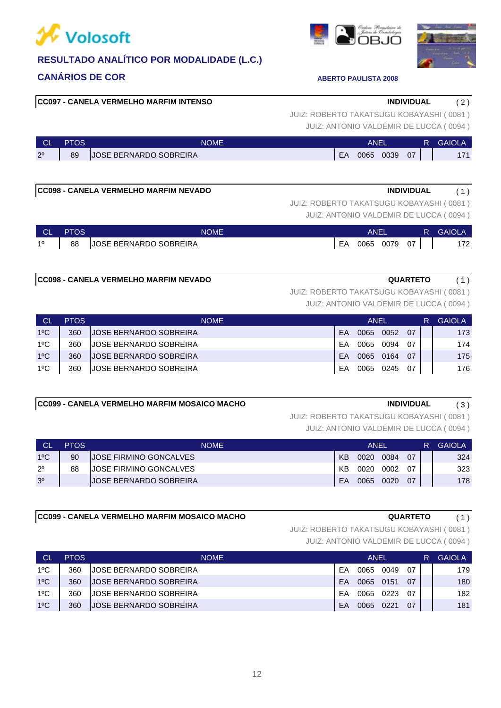![](_page_11_Picture_0.jpeg)

![](_page_11_Picture_1.jpeg)

# **CC097 - CANELA VERMELHO MARFIM INTENSO INDIVIDUAL** ( 2 )

JUIZ: ANTONIO VALDEMIR DE LUCCA ( 0094 ) JUIZ: ROBERTO TAKATSUGU KOBAYASHI ( 0081 )

| <b>CL</b>   | <b>PTOS</b> | NOME'                               |                |      |      |    | <b>GAIOLA</b> |
|-------------|-------------|-------------------------------------|----------------|------|------|----|---------------|
| $2^{\circ}$ | 89          | <b>OSE BERNARDO SOBREIRA</b><br>.IC | <b>FA</b><br>- | 0065 | 0039 | 07 | 174           |

# **CC098 - CANELA VERMELHO MARFIM NEVADO INDIVIDUAL** ( 1 )

JUIZ: ANTONIO VALDEMIR DE LUCCA ( 0094 ) JUIZ: ROBERTO TAKATSUGU KOBAYASHI ( 0081 )

| <b>CL</b>   | <b>PTOS</b> | <b>NOME</b>               |    | ANEI |           |    | <b>R</b> GAIOLA |
|-------------|-------------|---------------------------|----|------|-----------|----|-----------------|
| $1^{\circ}$ |             | 88 JOSE BERNARDO SOBREIRA | EA |      | 0065 0079 | 07 | 172             |

### **CC098 - CANELA VERMELHO MARFIM NEVADO QUARTETO** ( 1 )

JUIZ: ROBERTO TAKATSUGU KOBAYASHI ( 0081 )

JUIZ: ANTONIO VALDEMIR DE LUCCA ( 0094 )

| <b>CL</b>     | <b>PTOS</b> | <b>NOME</b>                   |    | ANEL |      |     | <b>GAIOLA</b> |
|---------------|-------------|-------------------------------|----|------|------|-----|---------------|
| $1^{\circ}$ C | 360         | JOSE BERNARDO SOBREIRA        | FA | 0065 | 0052 | 07  | 173           |
| $1^{\circ}$ C | 360         | JOSE BERNARDO SOBREIRA        | FA | 0065 | 0094 | 07  | 174           |
| $1^{\circ}$ C | 360         | <b>JOSE BERNARDO SOBREIRA</b> | FA | 0065 | 0164 | 07  | 175           |
| $1^{\circ}$ C | 360         | <b>JOSE BERNARDO SOBREIRA</b> | EA | 0065 | 0245 | -07 | 176           |

### **CC099 - CANELA VERMELHO MARFIM MOSAICO MACHO INDIVIDUAL** ( 3 )

JUIZ: ROBERTO TAKATSUGU KOBAYASHI ( 0081 )

JUIZ: ANTONIO VALDEMIR DE LUCCA ( 0094 )

| Сl             | <b>PTOS</b> | <b>NOME</b>                   |    | ANEL |      |    | <b>GAIOLA</b> |
|----------------|-------------|-------------------------------|----|------|------|----|---------------|
| $1^{\circ}$ C  | 90          | IJOSE FIRMINO GONCALVES       | KB | 0020 | 0084 | 07 | 324           |
| $2^{\circ}$    | 88          | <b>JOSE FIRMINO GONCALVES</b> | KB | 0020 | 0002 | በ7 | 323           |
| 3 <sup>o</sup> |             | <b>JOSE BERNARDO SOBREIRA</b> | EA | 0065 | 0020 | 07 | 178           |

### **CC099 - CANELA VERMELHO MARFIM MOSAICO MACHO QUARTETO** ( 1 )

JUIZ: ROBERTO TAKATSUGU KOBAYASHI ( 0081 )

| <b>CL</b>     | <b>PTOS</b> | <b>NOME</b>                   |    | ANEL |      |    | GAIOLA |
|---------------|-------------|-------------------------------|----|------|------|----|--------|
| $1^{\circ}$ C | 360         | JOSE BERNARDO SOBREIRA        | EA | 0065 | 0049 | 07 | 179    |
| $1^{\circ}$ C | 360         | JOSE BERNARDO SOBREIRA        | FA | 0065 | 0151 | 07 | 180    |
| $1^{\circ}$ C | 360         | JOSE BERNARDO SOBREIRA        | FA | 0065 | 0223 | 07 | 182    |
| $1^{\circ}$ C | 360         | <b>JOSE BERNARDO SOBREIRA</b> | EA | 0065 | 0221 | 07 | 181    |

![](_page_11_Picture_23.jpeg)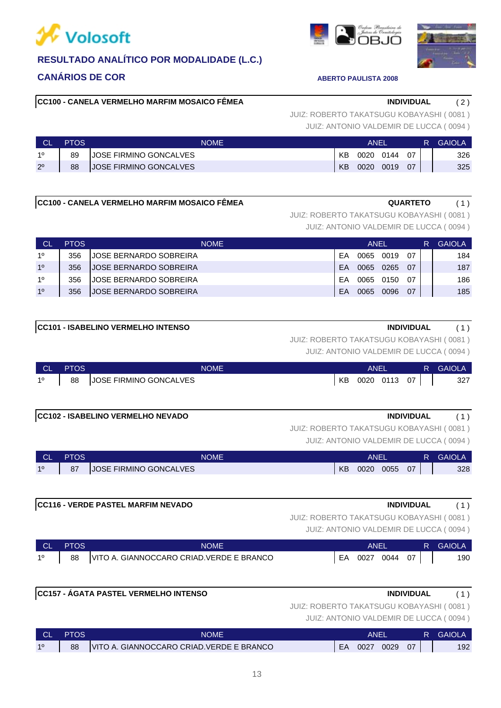![](_page_12_Picture_0.jpeg)

![](_page_12_Picture_1.jpeg)

### 13

# **CC100 - CANELA VERMELHO MARFIM MOSAICO FÊMEA INDIVIDUAL** ( 2 )

JUIZ: ANTONIO VALDEMIR DE LUCCA ( 0094 ) JUIZ: ROBERTO TAKATSUGU KOBAYASHI ( 0081 )

|             | <b>PTOS</b> | NOME                   |           | <b>ANEI</b> |      |    | R | <b>GAIOLA</b> |
|-------------|-------------|------------------------|-----------|-------------|------|----|---|---------------|
| 10          | 89          | JOSE FIRMINO GONCALVES | ΚB        | 0020        | 0144 | 07 |   | 326           |
| $2^{\circ}$ | 88          | JOSE FIRMINO GONCALVES | <b>KB</b> | 0020        | 0019 | 07 |   | 325           |

# **CC100 - CANELA VERMELHO MARFIM MOSAICO FÊMEA GUARTETO** (1)

JUIZ: ROBERTO TAKATSUGU KOBAYASHI ( 0081 )

JUIZ: ANTONIO VALDEMIR DE LUCCA ( 0094 )

| Сl             | <b>PTOS</b> | <b>NOME</b>             |    | <b>ANFI'</b> |      |    | R | GAIOL A |
|----------------|-------------|-------------------------|----|--------------|------|----|---|---------|
| 10             | 356         | IJOSE BERNARDO SOBREIRA | FΑ | 0065         | 0019 | 07 |   | 184     |
| 1 <sup>0</sup> | 356         | JOSE BERNARDO SOBREIRA  | FΑ | 0065         | 0265 | በ7 |   | 187     |
| 10             | 356         | IJOSE BERNARDO SOBREIRA | FΑ | 0065         | 0150 | 07 |   | 186     |
| 1 <sup>0</sup> | 356         | JOSE BERNARDO SOBREIRA  | FA | 0065         | 0096 | 07 |   | 185     |

| <b>CC101 - ISABELINO VERMELHO INTENSO</b> | <b>INDIVIDUAL</b>                                      |  |
|-------------------------------------------|--------------------------------------------------------|--|
|                                           | <u>II II7: DOREDTO TAKATRI ICI I KORAVARLII (MO94)</u> |  |

JUIZ: ANTONIO VALDEMIR DE LUCCA ( 0094 ) JUIZ: ROBERTO TAKATSUGU KOBAYASHI ( 0081 )

| <b>CL</b>   | <b>PTOS</b> | <b>NOME</b>            |    | ANEI |           |      | R. | <b>GAIOLA</b> |
|-------------|-------------|------------------------|----|------|-----------|------|----|---------------|
| $1^{\circ}$ | 88          | JOSE FIRMINO GONCALVES | KB |      | 0020 0113 | - 07 |    | 327           |

# **CC102 - ISABELINO VERMELHO NEVADO INDIVIDUAL** ( 1 )

JUIZ: ROBERTO TAKATSUGU KOBAYASHI ( 0081 )

JUIZ: ANTONIO VALDEMIR DE LUCCA ( 0094 )

| <b>CL</b> | PTOS | <b>NOME</b>                   | <b>ANEL</b> |      |      | <b>GAIOLA</b> |     |
|-----------|------|-------------------------------|-------------|------|------|---------------|-----|
| 10        | 87   | <b>JOSE FIRMINO GONCALVES</b> | <b>KB</b>   | 0020 | 0055 | 07            | 328 |

# **CC116 - VERDE PASTEL MARFIM NEVADO INDIVIDUAL** ( 1 )

JUIZ: ROBERTO TAKATSUGU KOBAYASHI ( 0081 )

JUIZ: ANTONIO VALDEMIR DE LUCCA ( 0094 )

| <b>NICE</b> | <b>PTOS</b> | <b>NOME</b>                               |    | ANFI |      |    | 47 | GAIOLA |
|-------------|-------------|-------------------------------------------|----|------|------|----|----|--------|
| $1^{\circ}$ | 88          | VITO A. GIANNOCCARO CRIAD. VERDE E BRANCO | EA | 0027 | 0044 | 07 |    | 190    |

# **CC157 - ÁGATA PASTEL VERMELHO INTENSO INDIVIDUAL** ( 1 )

# JUIZ: ROBERTO TAKATSUGU KOBAYASHI ( 0081 )

| <b>CL</b> | <b>PTOS</b> | NOME                                      |           | ANEI |      |    | GAIOLA |
|-----------|-------------|-------------------------------------------|-----------|------|------|----|--------|
| 10        | 88          | VITO A. GIANNOCCARO CRIAD. VERDE E BRANCO | <b>EA</b> | 0027 | 0029 | 07 | 192    |

![](_page_12_Picture_26.jpeg)

![](_page_12_Picture_27.jpeg)

![](_page_12_Picture_28.jpeg)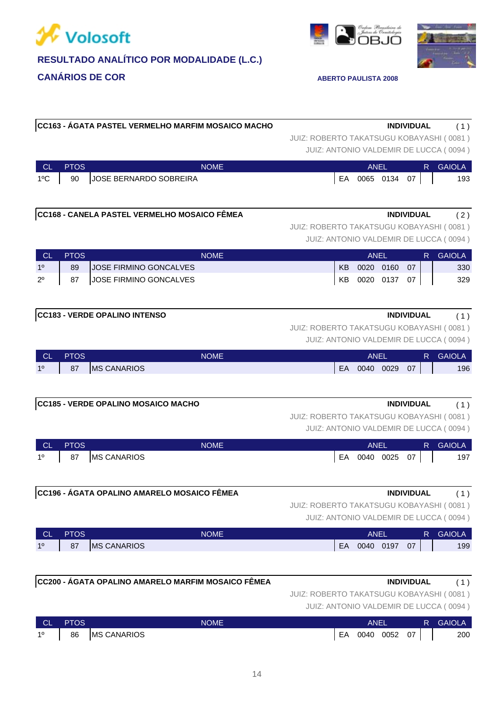![](_page_13_Picture_0.jpeg)

**CC168 - CANELA PASTEL VERMELHO MOSAICO FÊMEA** 

![](_page_13_Picture_1.jpeg)

![](_page_13_Picture_2.jpeg)

| CC163 - ÁGATA PASTEL VERMELHO MARFIM MOSAICO MACHO | <b>INDIVIDUAL</b>                        | (1) |
|----------------------------------------------------|------------------------------------------|-----|
|                                                    | JUIZ: ROBERTO TAKATSUGU KOBAYASHI (0081) |     |
|                                                    | JUIZ: ANTONIO VALDEMIR DE LUCCA (0094)   |     |

| CL            | <b>PTOS</b> | <b>NOME</b>            |    | ANFI |           |    | R | <b>GAIOLA</b> |
|---------------|-------------|------------------------|----|------|-----------|----|---|---------------|
| $1^{\circ}$ C | 90          | JOSE BERNARDO SOBREIRA | EA |      | 0065 0134 | 07 |   | 193           |

| <b>INDIVIDUAL</b> |  |
|-------------------|--|

JUIZ: ROBERTO TAKATSUGU KOBAYASHI ( 0081 )

JUIZ: ANTONIO VALDEMIR DE LUCCA ( 0094 )

|             | <b>PTOS</b> | NOME                          | ANFI |      |      | R. | <b>GAIOLA</b> |     |
|-------------|-------------|-------------------------------|------|------|------|----|---------------|-----|
| 10          | 89          | <b>JOSE FIRMINO GONCALVES</b> | KB   | 0020 | 0160 | 07 |               | 330 |
| $2^{\circ}$ | 87          | JOSE FIRMINO GONCALVES        | KB   | 0020 | 0137 | 07 |               | 329 |

### **CC183 - VERDE OPALINO INTENSO INDIVIDUAL** ( 1 )

JUIZ: ROBERTO TAKATSUGU KOBAYASHI ( 0081 )

JUIZ: ANTONIO VALDEMIR DE LUCCA ( 0094 )

| <b>CL</b> | <b>PTOS</b> | <b>NOME</b>        |    | ANE  |      |    | R | <b>GAIOLA</b> |
|-----------|-------------|--------------------|----|------|------|----|---|---------------|
| 10        | 87          | <b>MS CANARIOS</b> | EA | 0040 | 0029 | 07 |   | 196           |

### **CC185 - VERDE OPALINO MOSAICO MACHO INDIVIDUAL** ( 1 )

# JUIZ: ROBERTO TAKATSUGU KOBAYASHI ( 0081 )

JUIZ: ANTONIO VALDEMIR DE LUCCA ( 0094 )

| <b>CL</b>   | <b>PTOS</b> | <b>NOME</b>        |    | ANEI |      |    | R. | <b>GAIOLA</b> |
|-------------|-------------|--------------------|----|------|------|----|----|---------------|
| $1^{\circ}$ | 87          | <b>MS CANARIOS</b> | EA | 0040 | 0025 | 07 |    | 197           |

JUIZ: ROBERTO TAKATSUGU KOBAYASHI ( 0081 )

JUIZ: ANTONIO VALDEMIR DE LUCCA ( 0094 )

| <b>CL</b> | $\overline{\mathsf{PTOS}}$ | <b>NOME</b>              |    | ANEI |      |    | R | <b>GAIOLA</b> |
|-----------|----------------------------|--------------------------|----|------|------|----|---|---------------|
| 10        | 87                         | <b>CANARIOS</b><br>IMS ( | EA | 0040 | 0197 | 07 |   | 199           |

| <b>INDIVIDUAL</b> |
|-------------------|
|                   |

# **CC200 - ÁGATA OPALINO AMARELO MARFIM MOSAICO FÊMEA**

JUIZ: ROBERTO TAKATSUGU KOBAYASHI ( 0081 )

| <b>CL</b>   | <b>PTOS</b> | <b>NOME</b>        |    | ANEL |      |    | R GAIOLA |
|-------------|-------------|--------------------|----|------|------|----|----------|
| $1^{\circ}$ | 86          | <b>MS CANARIOS</b> | EA | 0040 | 0052 | 07 | 200      |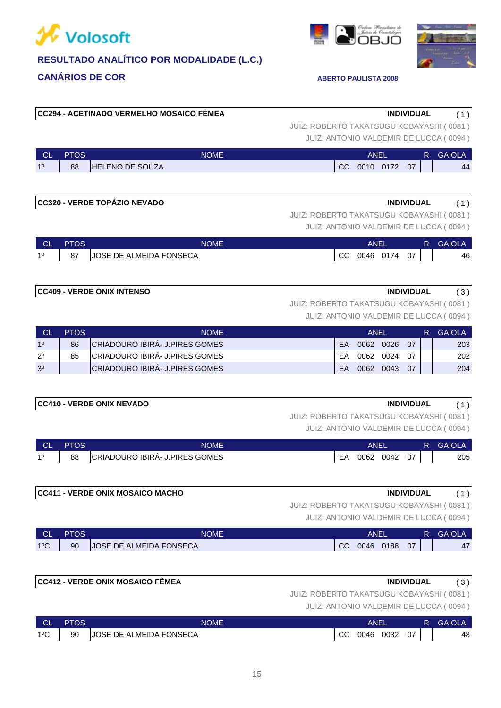![](_page_14_Picture_0.jpeg)

# **CANÁRIOS DE COR ABERTO PAULISTA 2008**

# JUIZ: ANTONIO VALDEMIR DE LUCCA ( 0094 ) JUIZ: ROBERTO TAKATSUGU KOBAYASHI ( 0081 ) **CC294 - ACETINADO VERMELHO MOSAICO FÊMEA INDIVIDUAL** ( 1 )

| <b>CL</b> | PTOS | <b>NOME</b>            |           | ANEL      |    | <b>GAIOLA</b> |
|-----------|------|------------------------|-----------|-----------|----|---------------|
| 10        | 88   | <b>HELENO DE SOUZA</b> | <b>CC</b> | 0010 0172 | 07 | 44            |
|           |      |                        |           |           |    |               |

| CC320 - VERDE TOPÁZIO NEVADO | <b>INDIVIDUAL</b>                        | (1) |
|------------------------------|------------------------------------------|-----|
|                              | JUIZ: ROBERTO TAKATSUGU KOBAYASHI (0081) |     |
|                              | JUIZ: ANTONIO VALDEMIR DE LUCCA (0094)   |     |

| <b>CL</b>   | <b>PTOS</b> | NOME                    |     | ANEI |           |    | R | <b>GAIOLA</b> |
|-------------|-------------|-------------------------|-----|------|-----------|----|---|---------------|
| $1^{\circ}$ | 87          | JOSE DE ALMEIDA FONSECA | CC. |      | 0046 0174 | 07 |   | 46            |

### **CC409 - VERDE ONIX INTENSO INDIVIDUAL** ( 3 )

JUIZ: ROBERTO TAKATSUGU KOBAYASHI ( 0081 )

JUIZ: ANTONIO VALDEMIR DE LUCCA ( 0094 )

| СL             | PTOS. | <b>NOME</b>                           |    | <b>ANFI</b> |      |      | <b>GAIOLA</b> |
|----------------|-------|---------------------------------------|----|-------------|------|------|---------------|
| 10             | 86    | <b>CRIADOURO IBIRA- J.PIRES GOMES</b> | FA | 0062        | 0026 | -07  | 203           |
| $2^{\circ}$    | 85    | CRIADOURO IBIRÁ- J.PIRES GOMES        | FΑ | 0062        | 0024 | . በ7 | 202           |
| 3 <sup>o</sup> |       | CRIADOURO IBIRÁ- J.PIRES GOMES        | FA | 0062        | 0043 | -07  | 204           |

### **CC410 - VERDE ONIX NEVADO INDIVIDUAL** ( 1 )

JUIZ: ROBERTO TAKATSUGU KOBAYASHI ( 0081 )

JUIZ: ANTONIO VALDEMIR DE LUCCA ( 0094 )

| ∴ CL '         | <b>PTOS</b> | <b>NOME</b>                    |    | ANEI |              |  | <b>R</b> GAIOLA |
|----------------|-------------|--------------------------------|----|------|--------------|--|-----------------|
| 1 <sup>0</sup> | 88          | CRIADOURO IBIRÁ- J.PIRES GOMES | EA |      | 0062 0042 07 |  | 205             |

| CC411 - VERDE ONIX MOSAICO MACHO | <b>INDIVIDUAL</b> |  |
|----------------------------------|-------------------|--|
|                                  |                   |  |

JUIZ: ROBERTO TAKATSUGU KOBAYASHI ( 0081 )

JUIZ: ANTONIO VALDEMIR DE LUCCA ( 0094 )

| CL.           | <b>PTOS</b> | NOME                    |                          | ANEI      |      | R GAIOLA |
|---------------|-------------|-------------------------|--------------------------|-----------|------|----------|
| $1^{\circ}$ C | 90          | JOSE DE ALMEIDA FONSECA | $\overline{\mathsf{CC}}$ | 0046 0188 | - 07 | 47       |

| <b>CC412 - VERDE ONIX MOSAICO FËMEA</b><br><b>INDIVIDUAL</b> | $\sim$ |
|--------------------------------------------------------------|--------|
|--------------------------------------------------------------|--------|

JUIZ: ROBERTO TAKATSUGU KOBAYASHI ( 0081 )

| CL PTOS | <b>NOME</b>                        | ANEI              |  | <b>R</b> GAIOLA |
|---------|------------------------------------|-------------------|--|-----------------|
|         | 1°C   90   JOSE DE ALMEIDA FONSECA | $CC$ 0046 0032 07 |  | 48              |

![](_page_14_Picture_25.jpeg)

![](_page_14_Picture_26.jpeg)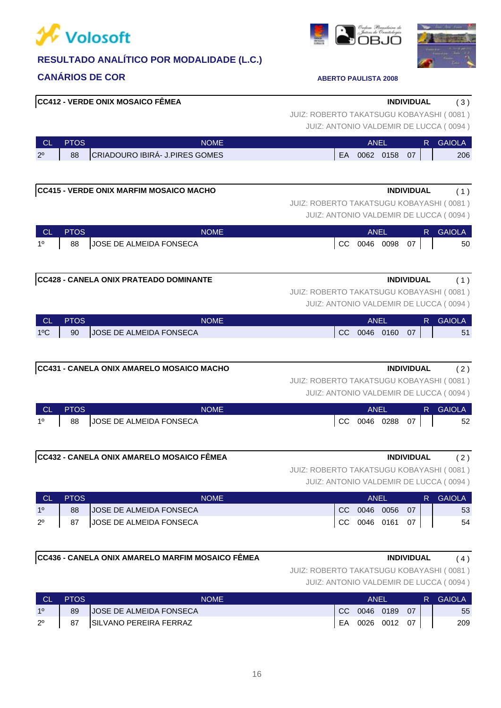![](_page_15_Picture_0.jpeg)

# **CANÁRIOS DE COR ABERTO PAULISTA 2008**

| CL.         | <b>PTOS</b> | <b>NOME</b>                                    | <b>ANEL</b><br>R GAIOLA                   |
|-------------|-------------|------------------------------------------------|-------------------------------------------|
| $2^{\circ}$ | 88          | CRIADOURO IBIRÁ- J.PIRES GOMES                 | EA 0062 0158 07<br>206                    |
|             |             |                                                |                                           |
|             |             |                                                |                                           |
|             |             | <b>CC415 - VERDE ONIX MARFIM MOSAICO MACHO</b> | <b>INDIVIDUAL</b><br>(1)                  |
|             |             |                                                | JUIZ: ROBERTO TAKATSUGU KOBAYASHI (0081)  |
|             |             |                                                | JUIZ: ANTONIO VALDEMIR DE LUCCA (0094)    |
| - CL        | <b>PTOS</b> | <b>NOME</b>                                    | R GAIOLA<br><b>ANEL</b>                   |
| 1º          | 88          | JOSE DE ALMEIDA FONSECA                        | CC 0046 0098<br>$07 \mid$<br>50           |
|             |             |                                                |                                           |
|             |             |                                                |                                           |
|             |             | CC428 - CANELA ONIX PRATEADO DOMINANTE         | <b>INDIVIDUAL</b><br>(1)                  |
|             |             |                                                | JUIZ: ROBERTO TAKATSUGU KOBAYASHI (0081)  |
|             |             |                                                | JUIZ: ANTONIO VALDEMIR DE LUCCA (0094)    |
| <b>CL</b>   | <b>PTOS</b> | <b>NOME</b>                                    | <b>ANEL</b><br><b>GAIOLA</b><br>R.        |
| 1°C         | 90          | JOSE DE ALMEIDA FONSECA                        | CC 0046 0160 07<br>51                     |
|             |             |                                                |                                           |
|             |             |                                                |                                           |
|             |             | CC431 - CANELA ONIX AMARELO MOSAICO MACHO      | <b>INDIVIDUAL</b><br>(2)                  |
|             |             |                                                | JUIZ: ROBERTO TAKATSUGU KOBAYASHI (0081)  |
|             |             |                                                | JUIZ: ANTONIO VALDEMIR DE LUCCA (0094)    |
| CL.         | <b>PTOS</b> | <b>NOME</b>                                    | <b>GAIOLA</b><br><b>ANEL</b><br>R.        |
| 10          | 88          | JOSE DE ALMEIDA FONSECA                        | <b>CC</b><br>0046 0288<br>$07 \mid$<br>52 |
|             |             |                                                |                                           |

**CC412 - VERDE ONIX MOSAICO FÊMEA INDIVIDUAL** ( 3 )

## **CC432 - CANELA ONIX AMARELO MOSAICO FÊMEA INDIVIDUAL** ( 2 )

JUIZ: ROBERTO TAKATSUGU KOBAYASHI ( 0081 )

JUIZ: ANTONIO VALDEMIR DE LUCCA ( 0094 )

|                | <b>PTOS</b> | <b>NOME</b>             |     | ANEL            |      |    | R. | <b>GAIOLA</b> |
|----------------|-------------|-------------------------|-----|-----------------|------|----|----|---------------|
| 1 <sup>0</sup> | 88          | JOSE DE ALMEIDA FONSECA | CC. | 0046            | 0056 | 07 |    | 53            |
| $2^{\circ}$    | 87          | JOSE DE ALMEIDA FONSECA |     | CC 0046 0161 07 |      |    |    | 54            |

### **CC436 - CANELA ONIX AMARELO MARFIM MOSAICO FÊMEA INDIVIDUAL** ( 4 )

# JUIZ: ROBERTO TAKATSUGU KOBAYASHI ( 0081 )

JUIZ: ANTONIO VALDEMIR DE LUCCA ( 0094 )

| <b>CL</b>   | <b>PTOS</b> | <b>NOME</b>             |    | ANEI         |    | R. | GAIOLA |
|-------------|-------------|-------------------------|----|--------------|----|----|--------|
| 10          | 89          | JOSE DE ALMEIDA FONSECA |    | CC 0046 0189 | 07 |    | 55     |
| $2^{\circ}$ | 87          | SILVANO PEREIRA FERRAZ  | EA | 0026 0012    | 07 |    | 209    |

![](_page_15_Picture_14.jpeg)

![](_page_15_Picture_15.jpeg)

JUIZ: ANTONIO VALDEMIR DE LUCCA ( 0094 ) JUIZ: ROBERTO TAKATSUGU KOBAYASHI ( 0081 )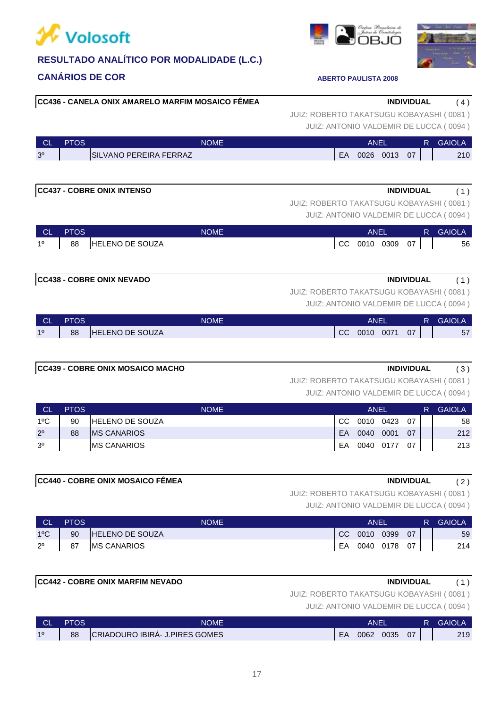![](_page_16_Picture_0.jpeg)

![](_page_16_Picture_1.jpeg)

# **CC436 - CANELA ONIX AMARELO MARFIM MOSAICO FÊMEA INDIVIDUAL** ( 4 )

JUIZ: ANTONIO VALDEMIR DE LUCCA ( 0094 ) JUIZ: ROBERTO TAKATSUGU KOBAYASHI ( 0081 )

| <b>CL</b>      | PTOS | <b>NOME</b>             |    | ANEI |      |    | <b>GAIOLA</b> |
|----------------|------|-------------------------|----|------|------|----|---------------|
| 3 <sup>o</sup> |      | ISILVANO PEREIRA FERRAZ | EA | 0026 | 0013 | 07 | 210           |

# **CC437 - COBRE ONIX INTENSO INDIVIDUAL** ( 1 )

JUIZ: ANTONIO VALDEMIR DE LUCCA ( 0094 ) JUIZ: ROBERTO TAKATSUGU KOBAYASHI ( 0081 )

| LCL 1       | <b>PTOS</b> | NOME            |    | <b>ANEI</b> |      | R. | <b>GAIOLA</b> |
|-------------|-------------|-----------------|----|-------------|------|----|---------------|
| $1^{\circ}$ | 88          | HELENO DE SOUZA | CC | 0010 0309   | - 07 |    | 56            |

# **CC438 - COBRE ONIX NEVADO INDIVIDUAL** ( 1 )

JUIZ: ROBERTO TAKATSUGU KOBAYASHI ( 0081 )

JUIZ: ANTONIO VALDEMIR DE LUCCA ( 0094 )

| <b>CL</b> | <b>PTOS</b> | <b>NOME</b>            |    | <b>ANEL</b> |      |    | <b>GAIOLA</b> |
|-----------|-------------|------------------------|----|-------------|------|----|---------------|
| 10        | 88          | <b>HELENO DE SOUZA</b> | CC | 0010        | 0071 | 07 | 57            |

# **CC439 - COBRE ONIX MOSAICO MACHO INDIVIDUAL** ( 3 )

JUIZ: ROBERTO TAKATSUGU KOBAYASHI ( 0081 )

JUIZ: ANTONIO VALDEMIR DE LUCCA ( 0094 )

| <b>CL</b>      | <b>PTOS</b> | <b>NOME</b>             |     | ANEL      |      | R  | <b>GAIOLA</b> |     |
|----------------|-------------|-------------------------|-----|-----------|------|----|---------------|-----|
| 1ºC            | 90          | <b>IHELENO DE SOUZA</b> | CC. | 0010      | 0423 | 07 |               | 58  |
| $2^{\circ}$    | 88          | IMS CANARIOS            | EA  | 0040      | 0001 | 07 |               | 212 |
| 3 <sup>o</sup> |             | <b>IMS CANARIOS</b>     | EA  | 0040 0177 |      | 07 |               | 213 |

### **CC440 - COBRE ONIX MOSAICO FÊMEA INDIVIDUAL** ( 2 )

JUIZ: ROBERTO TAKATSUGU KOBAYASHI ( 0081 )

JUIZ: ANTONIO VALDEMIR DE LUCCA ( 0094 )

| <b>NCL</b>    | <b>PTOS</b>                                                                                                                                                                                                                                                                                                                                                                                                                   | <b>NOME</b>        | ANEI            |    | R GAIOLA |
|---------------|-------------------------------------------------------------------------------------------------------------------------------------------------------------------------------------------------------------------------------------------------------------------------------------------------------------------------------------------------------------------------------------------------------------------------------|--------------------|-----------------|----|----------|
| $1^{\circ}$ C | 90                                                                                                                                                                                                                                                                                                                                                                                                                            | HELENO DE SOUZA    | CC 0010 0399    | 07 | 59       |
| $2^{\circ}$   | $\begin{array}{c} \n \text{B7} \\ \text{C4} \\ \text{D5} \\ \text{D6} \\ \text{D7} \\ \text{D8} \\ \text{D9} \\ \text{D1} \\ \text{D1} \\ \text{D1} \\ \text{D2} \\ \text{D1} \\ \text{D2} \\ \text{D1} \\ \text{D2} \\ \text{D3} \\ \text{D4} \\ \text{D5} \\ \text{D6} \\ \text{D7} \\ \text{D8} \\ \text{D9} \\ \text{D1} \\ \text{D1} \\ \text{D2} \\ \text{D1} \\ \text{D2} \\ \text{D1} \\ \text{D2} \\ \text{D3} \\ \$ | <b>MS CANARIOS</b> | EA 0040 0178 07 |    | 214      |

### **CC442 - COBRE ONIX MARFIM NEVADO INDIVIDUAL** ( 1 )

JUIZ: ROBERTO TAKATSUGU KOBAYASHI ( 0081 )

| <b>CL</b> | PTOS | <b>NOME</b>                    |    | ANF  |      |    | R | <b>GAIOLA</b> |
|-----------|------|--------------------------------|----|------|------|----|---|---------------|
| 10        | 88   | CRIADOURO IBIRÁ- J.PIRES GOMES | EA | 0062 | 0035 | 07 |   | 219           |

![](_page_16_Picture_26.jpeg)

![](_page_16_Picture_27.jpeg)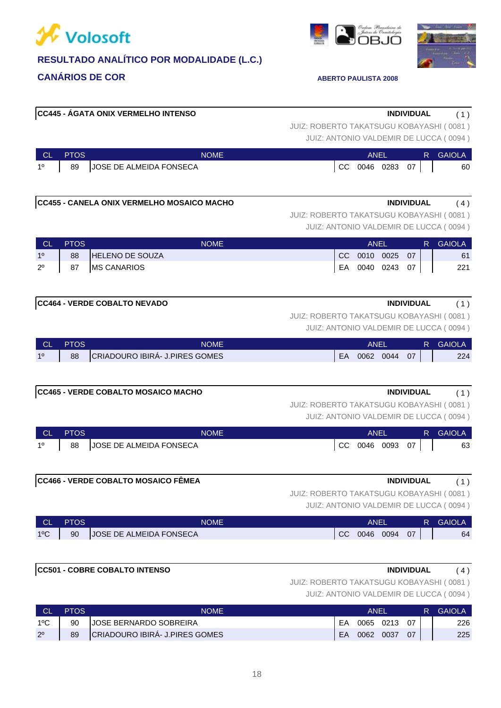![](_page_17_Picture_0.jpeg)

# **CANÁRIOS DE COR ABERTO PAULISTA 2008**

# JUIZ: ROBERTO TAKATSUGU KOBAYASHI ( 0081 ) **CC466 - VERDE COBALTO MOSAICO FÊMEA INDIVIDUAL** ( 1 ) 1º 88 JOSE DE ALMEIDA FONSECA CC 0046 0093 07 | 63 CL PTOS NOME ANEL R GAIOLA **CC465 - VERDE COBALTO MOSAICO MACHO INDIVIDUAL** ( 1 ) JUIZ: ROBERTO TAKATSUGU KOBAYASHI ( 0081 ) **CC464 - VERDE COBALTO NEVADO INDIVIDUAL** ( 1 ) 2º 87 MS CANARIOS EA 0040 0243 07 221 1º 88 HELENO DE SOUZA CC 0010 0025 07 | 61 JUIZ: ANTONIO VALDEMIR DE LUCCA ( 0094 ) JUIZ: ROBERTO TAKATSUGU KOBAYASHI ( 0081 ) **CC455 - CANELA ONIX VERMELHO MOSAICO MACHO INDIVIDUAL** ( 4 ) CL PTOS NOME ANEL R GAIOLA

1º 89 JOSE DE ALMEIDA FONSECA CC 0046 0283 07 | 60

CL PTOS NOME ANEL R GAIOLA

**CC445 - ÁGATA ONIX VERMELHO INTENSO INDIVIDUAL** ( 1 )

JUIZ: ANTONIO VALDEMIR DE LUCCA ( 0094 )

| <b>CL</b>     | <b>PTOS</b> | NOME                    |    | ANF∣ |      |    | R | <b>GAIOLA</b> |
|---------------|-------------|-------------------------|----|------|------|----|---|---------------|
| $1^{\circ}$ C | 90          | JOSE DE ALMEIDA FONSECA | CC | 0046 | 0094 | 07 |   | 64            |

### **CC501 - COBRE COBALTO INTENSO INDIVIDUAL** ( 4 )

JUIZ: ROBERTO TAKATSUGU KOBAYASHI ( 0081 )

JUIZ: ANTONIO VALDEMIR DE LUCCA ( 0094 )

|               | <b>PTOS</b> | NOME                           | ANFI |      |           |    | R | <b>GAIOLA</b> |
|---------------|-------------|--------------------------------|------|------|-----------|----|---|---------------|
| $1^{\circ}$ C | 90          | <b>JOSE BERNARDO SOBREIRA</b>  | FΑ   |      | 0065 0213 | 07 |   | 226           |
| $2^{\circ}$   | 89          | CRIADOURO IBIRÁ- J.PIRES GOMES | EA   | 0062 | 0037      | 07 |   | 225           |

JUIZ: ANTONIO VALDEMIR DE LUCCA ( 0094 ) JUIZ: ROBERTO TAKATSUGU KOBAYASHI ( 0081 )

![](_page_17_Picture_13.jpeg)

![](_page_17_Picture_14.jpeg)

JUIZ: ANTONIO VALDEMIR DE LUCCA ( 0094 )

| <b>CL</b> | <b>PTOS</b> | <b>NOME</b>                    | ANEI |      |      |    | <b>GAIOLA</b> |
|-----------|-------------|--------------------------------|------|------|------|----|---------------|
| 10        | 88          | CRIADOURO IBIRÁ- J.PIRES GOMES | EA   | 0062 | 0044 | 07 | 224           |
|           |             |                                |      |      |      |    |               |

JUIZ: ROBERTO TAKATSUGU KOBAYASHI ( 0081 )